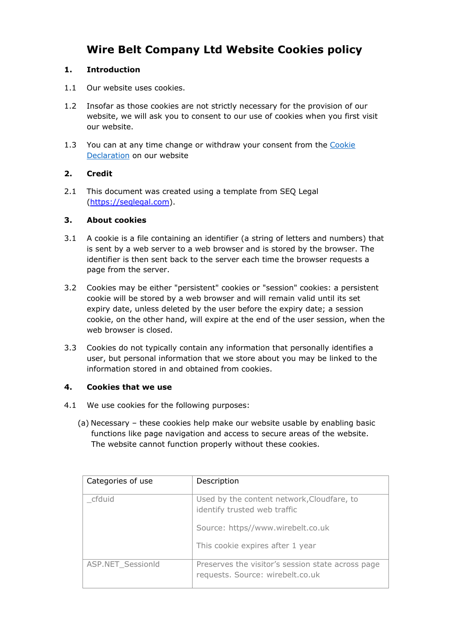# **Wire Belt Company Ltd Website Cookies policy**

#### **1. Introduction**

- 1.1 Our website uses cookies.
- 1.2 Insofar as those cookies are not strictly necessary for the provision of our website, we will ask you to consent to our use of cookies when you first visit our website.
- 1.3 You can at any time change or withdraw your consent from the Cookie Declaration on our website

#### **2. Credit**

2.1 This document was created using a template from SEQ Legal (https://seqlegal.com).

#### **3. About cookies**

- 3.1 A cookie is a file containing an identifier (a string of letters and numbers) that is sent by a web server to a web browser and is stored by the browser. The identifier is then sent back to the server each time the browser requests a page from the server.
- 3.2 Cookies may be either "persistent" cookies or "session" cookies: a persistent cookie will be stored by a web browser and will remain valid until its set expiry date, unless deleted by the user before the expiry date; a session cookie, on the other hand, will expire at the end of the user session, when the web browser is closed.
- 3.3 Cookies do not typically contain any information that personally identifies a user, but personal information that we store about you may be linked to the information stored in and obtained from cookies.

#### **4. Cookies that we use**

- 4.1 We use cookies for the following purposes:
	- (a) Necessary these cookies help make our website usable by enabling basic functions like page navigation and access to secure areas of the website. The website cannot function properly without these cookies.

| Categories of use | Description                                                                           |
|-------------------|---------------------------------------------------------------------------------------|
| cfduid            | Used by the content network, Cloudfare, to<br>identify trusted web traffic            |
|                   | Source: https//www.wirebelt.co.uk                                                     |
|                   | This cookie expires after 1 year                                                      |
| ASP.NET SessionId | Preserves the visitor's session state across page<br>requests. Source: wirebelt.co.uk |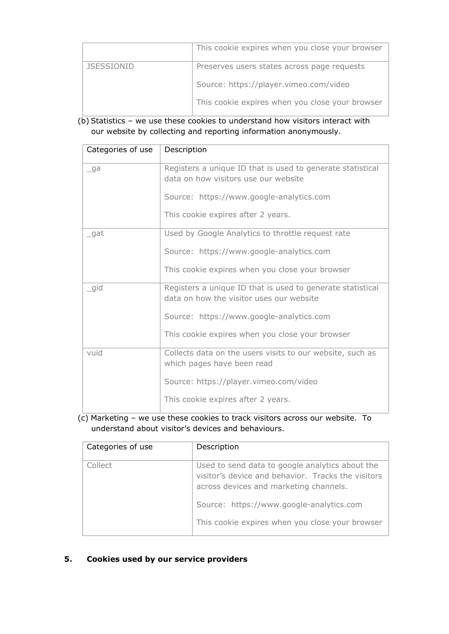|                   | This cookie expires when you close your browser |
|-------------------|-------------------------------------------------|
| <b>JSESSIONID</b> | Preserves users states across page requests     |
|                   | Source: https://player.vimeo.com/video          |
|                   | This cookie expires when you close your browser |

(b) Statistics – we use these cookies to understand how visitors interact with our website by collecting and reporting information anonymously.

| Categories of use | Description                                                                                            |
|-------------------|--------------------------------------------------------------------------------------------------------|
| _ga               | Registers a unique ID that is used to generate statistical<br>data on how visitors use our website     |
|                   | Source: https://www.google-analytics.com                                                               |
|                   | This cookie expires after 2 years.                                                                     |
| gat               | Used by Google Analytics to throttle request rate                                                      |
|                   | Source: https://www.google-analytics.com                                                               |
|                   | This cookie expires when you close your browser                                                        |
| gid               | Registers a unique ID that is used to generate statistical<br>data on how the visitor uses our website |
|                   | Source: https://www.google-analytics.com                                                               |
|                   | This cookie expires when you close your browser                                                        |
| vuid              | Collects data on the users visits to our website, such as<br>which pages have been read                |
|                   | Source: https://player.vimeo.com/video                                                                 |
|                   | This cookie expires after 2 years.                                                                     |

## (c) Marketing – we use these cookies to track visitors across our website. To understand about visitor's devices and behaviours.

| Categories of use | Description                                                                                                                                     |
|-------------------|-------------------------------------------------------------------------------------------------------------------------------------------------|
| Collect           | Used to send data to google analytics about the<br>visitor's device and behavior. Tracks the visitors<br>across devices and marketing channels. |
|                   | Source: https://www.google-analytics.com                                                                                                        |
|                   | This cookie expires when you close your browser                                                                                                 |

### **5. Cookies used by our service providers**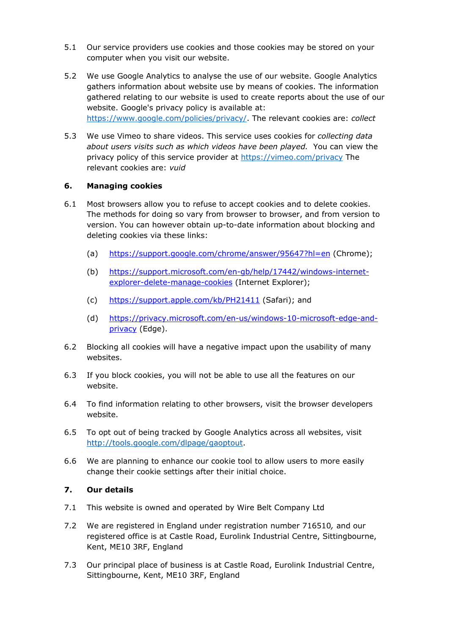- 5.1 Our service providers use cookies and those cookies may be stored on your computer when you visit our website.
- 5.2 We use Google Analytics to analyse the use of our website. Google Analytics gathers information about website use by means of cookies. The information gathered relating to our website is used to create reports about the use of our website. Google's privacy policy is available at: https://www.google.com/policies/privacy/. The relevant cookies are: *collect*
- 5.3 We use Vimeo to share videos. This service uses cookies for *collecting data about users visits such as which videos have been played.* You can view the privacy policy of this service provider at https://vimeo.com/privacy The relevant cookies are: *vuid*

#### **6. Managing cookies**

- 6.1 Most browsers allow you to refuse to accept cookies and to delete cookies. The methods for doing so vary from browser to browser, and from version to version. You can however obtain up-to-date information about blocking and deleting cookies via these links:
	- (a) https://support.google.com/chrome/answer/95647?hl=en (Chrome);
	- (b) https://support.microsoft.com/en-gb/help/17442/windows-internetexplorer-delete-manage-cookies (Internet Explorer);
	- (c) https://support.apple.com/kb/PH21411 (Safari); and
	- (d) https://privacy.microsoft.com/en-us/windows-10-microsoft-edge-andprivacy (Edge).
- 6.2 Blocking all cookies will have a negative impact upon the usability of many websites.
- 6.3 If you block cookies, you will not be able to use all the features on our website.
- 6.4 To find information relating to other browsers, visit the browser developers website.
- 6.5 To opt out of being tracked by Google Analytics across all websites, visit http://tools.google.com/dlpage/gaoptout.
- 6.6 We are planning to enhance our cookie tool to allow users to more easily change their cookie settings after their initial choice.

#### **7. Our details**

- 7.1 This website is owned and operated by Wire Belt Company Ltd
- 7.2 We are registered in England under registration number 716510*,* and our registered office is at Castle Road, Eurolink Industrial Centre, Sittingbourne, Kent, ME10 3RF, England
- 7.3 Our principal place of business is at Castle Road, Eurolink Industrial Centre, Sittingbourne, Kent, ME10 3RF, England